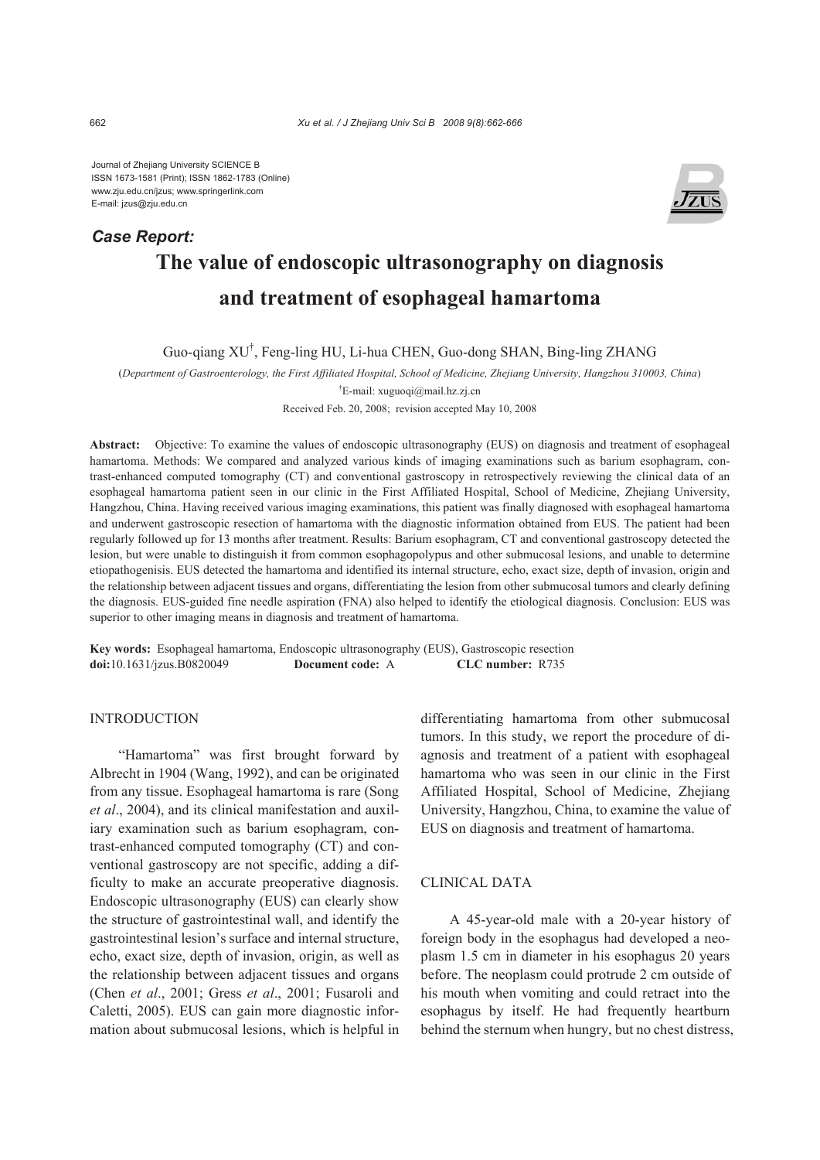Journal of Zhejiang University SCIENCE B ISSN 1673-1581 (Print); ISSN 1862-1783 (Online) www.zju.edu.cn/jzus; www.springerlink.com E-mail: jzus@zju.edu.cn

*Case Report:*



# **The value of endoscopic ultrasonography on diagnosis and treatment of esophageal hamartoma**

Guo-qiang XU† , Feng-ling HU, Li-hua CHEN, Guo-dong SHAN, Bing-ling ZHANG

(*Department of Gastroenterology, the First Affiliated Hospital, School of Medicine, Zhejiang University, Hangzhou 310003, China*)

† E-mail: xuguoqi@mail.hz.zj.cn

Received Feb. 20, 2008; revision accepted May 10, 2008

**Abstract:** Objective: To examine the values of endoscopic ultrasonography (EUS) on diagnosis and treatment of esophageal hamartoma. Methods: We compared and analyzed various kinds of imaging examinations such as barium esophagram, contrast-enhanced computed tomography (CT) and conventional gastroscopy in retrospectively reviewing the clinical data of an esophageal hamartoma patient seen in our clinic in the First Affiliated Hospital, School of Medicine, Zhejiang University, Hangzhou, China. Having received various imaging examinations, this patient was finally diagnosed with esophageal hamartoma and underwent gastroscopic resection of hamartoma with the diagnostic information obtained from EUS. The patient had been regularly followed up for 13 months after treatment. Results: Barium esophagram, CT and conventional gastroscopy detected the lesion, but were unable to distinguish it from common esophagopolypus and other submucosal lesions, and unable to determine etiopathogenisis. EUS detected the hamartoma and identified its internal structure, echo, exact size, depth of invasion, origin and the relationship between adjacent tissues and organs, differentiating the lesion from other submucosal tumors and clearly defining the diagnosis. EUS-guided fine needle aspiration (FNA) also helped to identify the etiological diagnosis. Conclusion: EUS was superior to other imaging means in diagnosis and treatment of hamartoma.

**Key words:** Esophageal hamartoma, Endoscopic ultrasonography (EUS), Gastroscopic resection **doi:**10.1631/jzus.B0820049 **Document code:** A **CLC number:** R735

## INTRODUCTION

"Hamartoma" was first brought forward by Albrecht in 1904 (Wang, 1992), and can be originated from any tissue. Esophageal hamartoma is rare (Song *et al*., 2004), and its clinical manifestation and auxiliary examination such as barium esophagram, contrast-enhanced computed tomography (CT) and conventional gastroscopy are not specific, adding a difficulty to make an accurate preoperative diagnosis. Endoscopic ultrasonography (EUS) can clearly show the structure of gastrointestinal wall, and identify the gastrointestinal lesion's surface and internal structure, echo, exact size, depth of invasion, origin, as well as the relationship between adjacent tissues and organs (Chen *et al*., 2001; Gress *et al*., 2001; Fusaroli and Caletti, 2005). EUS can gain more diagnostic information about submucosal lesions, which is helpful in differentiating hamartoma from other submucosal tumors. In this study, we report the procedure of diagnosis and treatment of a patient with esophageal hamartoma who was seen in our clinic in the First Affiliated Hospital, School of Medicine, Zhejiang University, Hangzhou, China, to examine the value of EUS on diagnosis and treatment of hamartoma.

### CLINICAL DATA

A 45-year-old male with a 20-year history of foreign body in the esophagus had developed a neoplasm 1.5 cm in diameter in his esophagus 20 years before. The neoplasm could protrude 2 cm outside of his mouth when vomiting and could retract into the esophagus by itself. He had frequently heartburn behind the sternum when hungry, but no chest distress,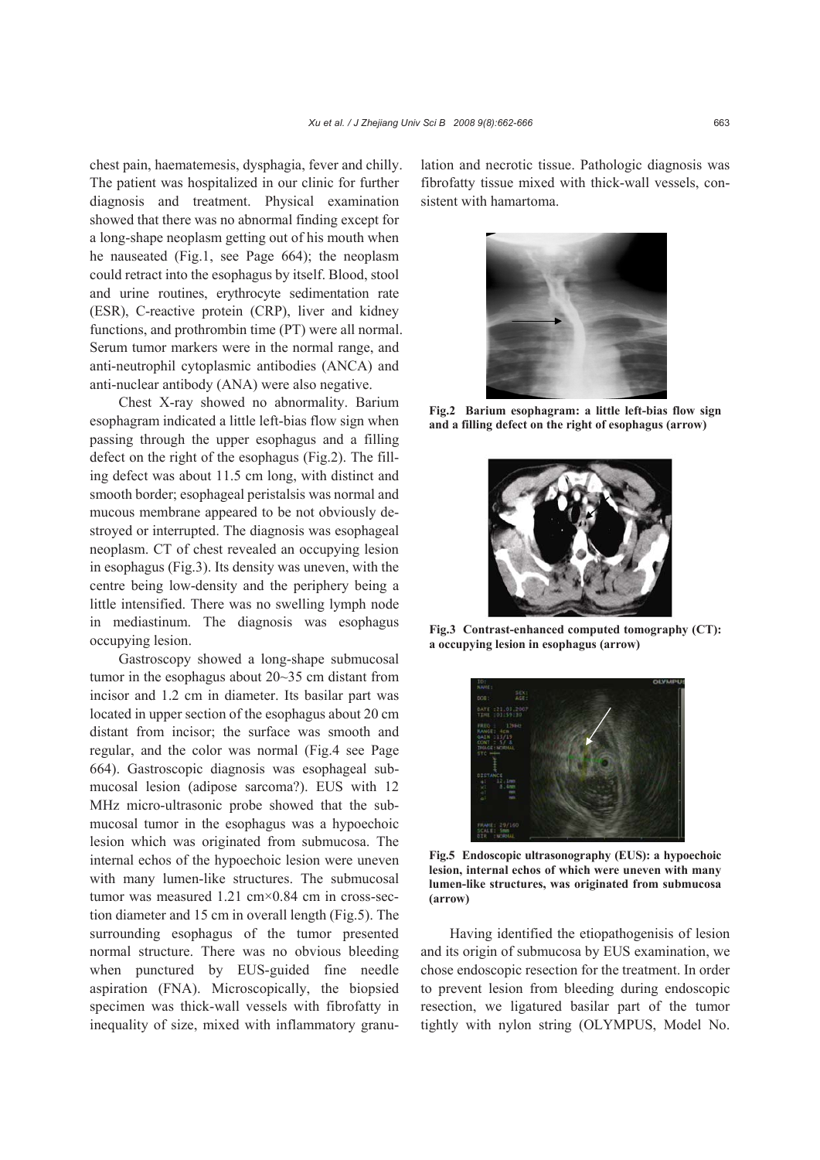chest pain, haematemesis, dysphagia, fever and chilly. The patient was hospitalized in our clinic for further diagnosis and treatment. Physical examination showed that there was no abnormal finding except for a long-shape neoplasm getting out of his mouth when he nauseated (Fig.1, see Page 664); the neoplasm could retract into the esophagus by itself. Blood, stool and urine routines, erythrocyte sedimentation rate (ESR), C-reactive protein (CRP), liver and kidney functions, and prothrombin time (PT) were all normal. Serum tumor markers were in the normal range, and anti-neutrophil cytoplasmic antibodies (ANCA) and anti-nuclear antibody (ANA) were also negative.

Chest X-ray showed no abnormality. Barium esophagram indicated a little left-bias flow sign when passing through the upper esophagus and a filling defect on the right of the esophagus (Fig.2). The filling defect was about 11.5 cm long, with distinct and smooth border; esophageal peristalsis was normal and mucous membrane appeared to be not obviously destroyed or interrupted. The diagnosis was esophageal neoplasm. CT of chest revealed an occupying lesion in esophagus (Fig.3). Its density was uneven, with the centre being low-density and the periphery being a little intensified. There was no swelling lymph node in mediastinum. The diagnosis was esophagus occupying lesion.

Gastroscopy showed a long-shape submucosal tumor in the esophagus about 20~35 cm distant from incisor and 1.2 cm in diameter. Its basilar part was located in upper section of the esophagus about 20 cm distant from incisor; the surface was smooth and regular, and the color was normal (Fig.4 see Page 664). Gastroscopic diagnosis was esophageal submucosal lesion (adipose sarcoma?). EUS with 12 MHz micro-ultrasonic probe showed that the submucosal tumor in the esophagus was a hypoechoic lesion which was originated from submucosa. The internal echos of the hypoechoic lesion were uneven with many lumen-like structures. The submucosal tumor was measured 1.21 cm×0.84 cm in cross-section diameter and 15 cm in overall length (Fig.5). The surrounding esophagus of the tumor presented normal structure. There was no obvious bleeding when punctured by EUS-guided fine needle aspiration (FNA). Microscopically, the biopsied specimen was thick-wall vessels with fibrofatty in inequality of size, mixed with inflammatory granulation and necrotic tissue. Pathologic diagnosis was fibrofatty tissue mixed with thick-wall vessels, consistent with hamartoma.



**Fig.2 Barium esophagram: a little left-bias flow sign and a filling defect on the right of esophagus (arrow)**



**Fig.3 Contrast-enhanced computed tomography (CT): a occupying lesion in esophagus (arrow)** 



**Fig.5 Endoscopic ultrasonography (EUS): a hypoechoic lesion, internal echos of which were uneven with many lumen-like structures, was originated from submucosa (arrow)**

Having identified the etiopathogenisis of lesion and its origin of submucosa by EUS examination, we chose endoscopic resection for the treatment. In order to prevent lesion from bleeding during endoscopic resection, we ligatured basilar part of the tumor tightly with nylon string (OLYMPUS, Model No.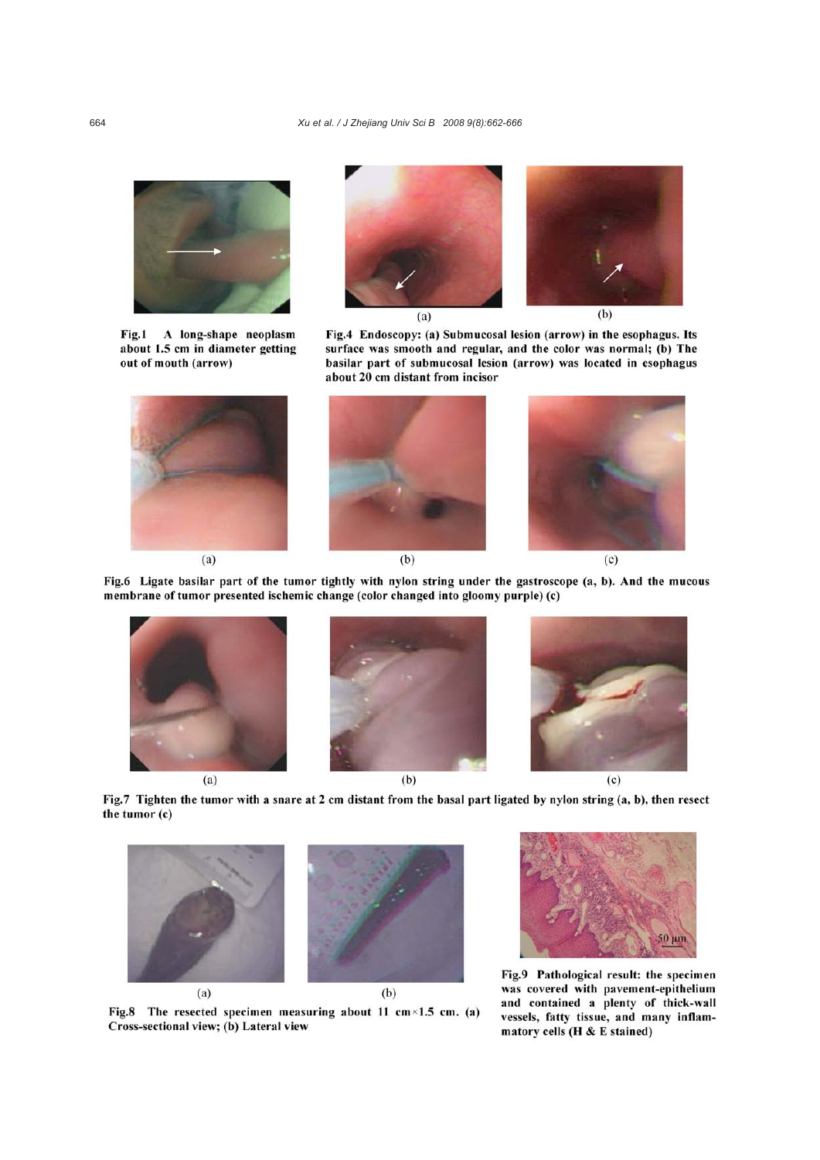

Fig.1 A long-shape neoplasm about 1.5 cm in diameter getting out of mouth (arrow)



Fig.4 Endoscopy: (a) Submucosal lesion (arrow) in the esophagus. Its surface was smooth and regular, and the color was normal; (b) The basilar part of submucosal lesion (arrow) was located in esophagus about 20 cm distant from incisor



 $(b)$ 



Fig.6 Ligate basilar part of the tumor tightly with nylon string under the gastroscope (a, b). And the mucous membrane of tumor presented ischemic change (color changed into gloomy purple) (c)



 $(a)$ 





Fig.7 Tighten the tumor with a snare at 2 cm distant from the basal part ligated by nylon string (a, b), then resect the tumor (c)



Fig.8 The resected specimen measuring about 11 cm×1.5 cm. (a) Cross-sectional view; (b) Lateral view



Fig.9 Pathological result: the specimen was covered with pavement-epithelium and contained a plenty of thick-wall vessels, fatty tissue, and many inflammatory cells (H & E stained)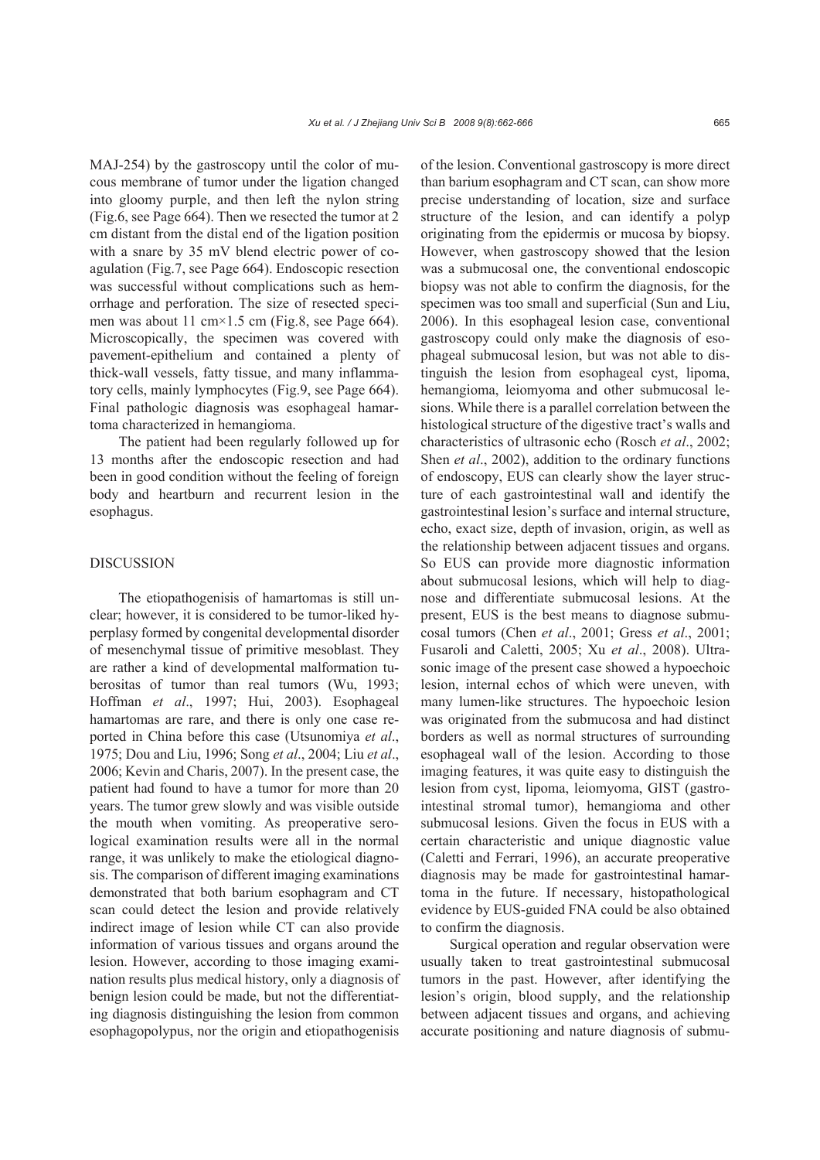MAJ-254) by the gastroscopy until the color of mucous membrane of tumor under the ligation changed into gloomy purple, and then left the nylon string (Fig.6, see Page 664). Then we resected the tumor at 2 cm distant from the distal end of the ligation position with a snare by 35 mV blend electric power of coagulation (Fig.7, see Page 664). Endoscopic resection was successful without complications such as hemorrhage and perforation. The size of resected specimen was about 11 cm×1.5 cm (Fig.8, see Page 664). Microscopically, the specimen was covered with pavement-epithelium and contained a plenty of thick-wall vessels, fatty tissue, and many inflammatory cells, mainly lymphocytes (Fig.9, see Page 664). Final pathologic diagnosis was esophageal hamartoma characterized in hemangioma.

The patient had been regularly followed up for 13 months after the endoscopic resection and had been in good condition without the feeling of foreign body and heartburn and recurrent lesion in the esophagus.

#### DISCUSSION

The etiopathogenisis of hamartomas is still unclear; however, it is considered to be tumor-liked hyperplasy formed by congenital developmental disorder of mesenchymal tissue of primitive mesoblast. They are rather a kind of developmental malformation tuberositas of tumor than real tumors (Wu, 1993; Hoffman *et al*., 1997; Hui, 2003). Esophageal hamartomas are rare, and there is only one case reported in China before this case (Utsunomiya *et al*., 1975; Dou and Liu, 1996; Song *et al*., 2004; Liu *et al*., 2006; Kevin and Charis, 2007). In the present case, the patient had found to have a tumor for more than 20 years. The tumor grew slowly and was visible outside the mouth when vomiting. As preoperative serological examination results were all in the normal range, it was unlikely to make the etiological diagnosis. The comparison of different imaging examinations demonstrated that both barium esophagram and CT scan could detect the lesion and provide relatively indirect image of lesion while CT can also provide information of various tissues and organs around the lesion. However, according to those imaging examination results plus medical history, only a diagnosis of benign lesion could be made, but not the differentiating diagnosis distinguishing the lesion from common esophagopolypus, nor the origin and etiopathogenisis

of the lesion. Conventional gastroscopy is more direct than barium esophagram and CT scan, can show more precise understanding of location, size and surface structure of the lesion, and can identify a polyp originating from the epidermis or mucosa by biopsy. However, when gastroscopy showed that the lesion was a submucosal one, the conventional endoscopic biopsy was not able to confirm the diagnosis, for the specimen was too small and superficial (Sun and Liu, 2006). In this esophageal lesion case, conventional gastroscopy could only make the diagnosis of esophageal submucosal lesion, but was not able to distinguish the lesion from esophageal cyst, lipoma, hemangioma, leiomyoma and other submucosal lesions. While there is a parallel correlation between the histological structure of the digestive tract's walls and characteristics of ultrasonic echo (Rosch *et al*., 2002; Shen *et al*., 2002), addition to the ordinary functions of endoscopy, EUS can clearly show the layer structure of each gastrointestinal wall and identify the gastrointestinal lesion's surface and internal structure, echo, exact size, depth of invasion, origin, as well as the relationship between adjacent tissues and organs. So EUS can provide more diagnostic information about submucosal lesions, which will help to diagnose and differentiate submucosal lesions. At the present, EUS is the best means to diagnose submucosal tumors (Chen *et al*., 2001; Gress *et al*., 2001; Fusaroli and Caletti, 2005; Xu *et al*., 2008). Ultrasonic image of the present case showed a hypoechoic lesion, internal echos of which were uneven, with many lumen-like structures. The hypoechoic lesion was originated from the submucosa and had distinct borders as well as normal structures of surrounding esophageal wall of the lesion. According to those imaging features, it was quite easy to distinguish the lesion from cyst, lipoma, leiomyoma, GIST (gastrointestinal stromal tumor), hemangioma and other submucosal lesions. Given the focus in EUS with a certain characteristic and unique diagnostic value (Caletti and Ferrari, 1996), an accurate preoperative diagnosis may be made for gastrointestinal hamartoma in the future. If necessary, histopathological evidence by EUS-guided FNA could be also obtained to confirm the diagnosis.

Surgical operation and regular observation were usually taken to treat gastrointestinal submucosal tumors in the past. However, after identifying the lesion's origin, blood supply, and the relationship between adjacent tissues and organs, and achieving accurate positioning and nature diagnosis of submu